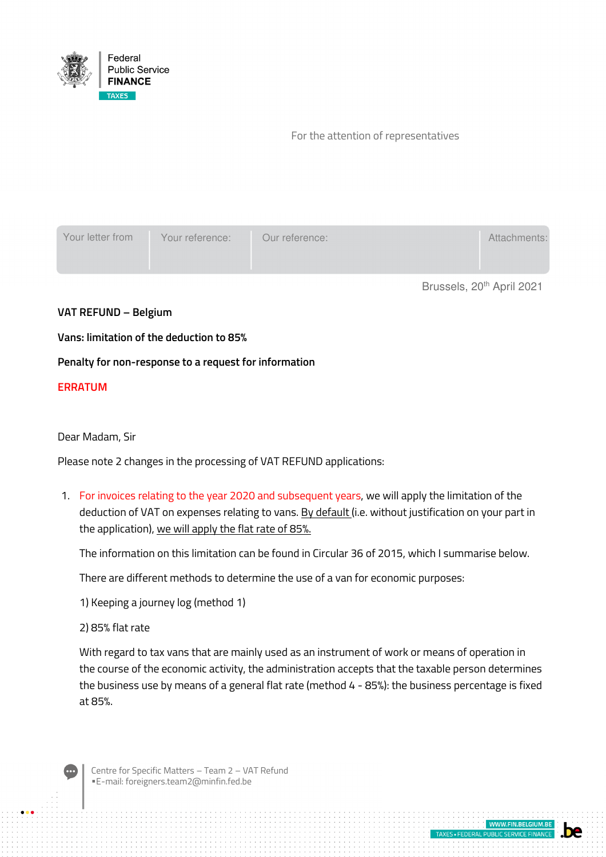

### For the attention of representatives

| Your letter from                      | Your reference: | Our reference: |  | Attachments: |
|---------------------------------------|-----------------|----------------|--|--------------|
| Brussels, 20 <sup>th</sup> April 2021 |                 |                |  |              |

## **VAT REFUND – Belgium**

## **Vans: limitation of the deduction to 85%**

## **Penalty for non-response to a request for information**

## **ERRATUM**

#### Dear Madam, Sir

Please note 2 changes in the processing of VAT REFUND applications:

1. For invoices relating to the year 2020 and subsequent years, we will apply the limitation of the deduction of VAT on expenses relating to vans. By default (i.e. without justification on your part in the application), we will apply the flat rate of 85%.

The information on this limitation can be found in Circular 36 of 2015, which I summarise below.

There are different methods to determine the use of a van for economic purposes:

1) Keeping a journey log (method 1)

2) 85% flat rate

With regard to tax vans that are mainly used as an instrument of work or means of operation in the course of the economic activity, the administration accepts that the taxable person determines the business use by means of a general flat rate (method 4 - 85%): the business percentage is fixed at 85%.

**MAAM FIN RELGIL** 

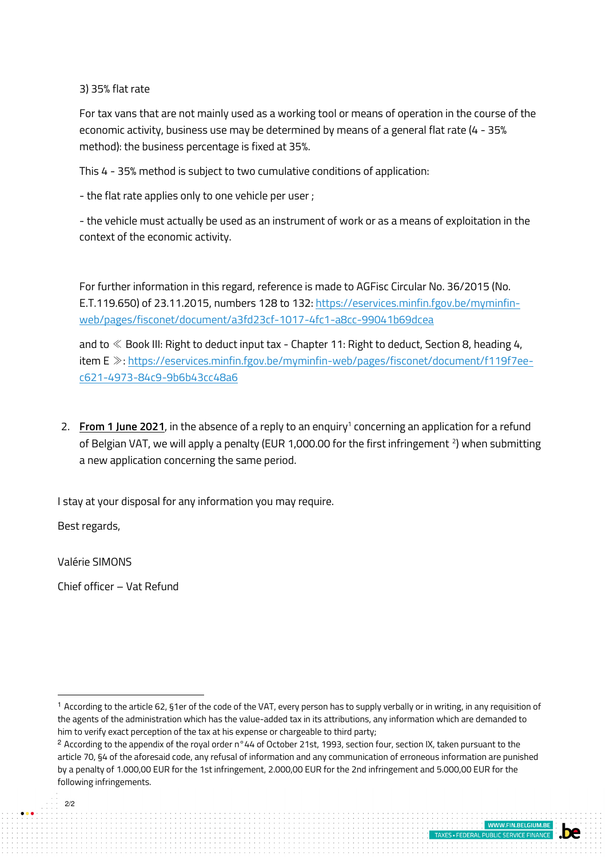3) 35% flat rate

For tax vans that are not mainly used as a working tool or means of operation in the course of the economic activity, business use may be determined by means of a general flat rate (4 - 35% method): the business percentage is fixed at 35%.

This 4 - 35% method is subject to two cumulative conditions of application:

- the flat rate applies only to one vehicle per user ;

- the vehicle must actually be used as an instrument of work or as a means of exploitation in the context of the economic activity.

For further information in this regard, reference is made to AGFisc Circular No. 36/2015 (No. E.T.119.650) of 23.11.2015, numbers 128 to 132: https://eservices.minfin.fgov.be/myminfinweb/pages/fisconet/document/a3fd23cf-1017-4fc1-a8cc-99041b69dcea

and to ≪ Book III: Right to deduct input tax - Chapter 11: Right to deduct, Section 8, heading 4, item E ≫: https://eservices.minfin.fgov.be/myminfin-web/pages/fisconet/document/f119f7eec621-4973-84c9-9b6b43cc48a6

2. From 1 June 2021, in the absence of a reply to an enquiry<sup>1</sup> concerning an application for a refund of Belgian VAT, we will apply a penalty (EUR 1,000.00 for the first infringement  $^2$ ) when submitting a new application concerning the same period.

I stay at your disposal for any information you may require.

Best regards,

Valérie SIMONS

Chief officer – Vat Refund

# 2/2

<sup>1</sup> According to the article 62, §1er of the code of the VAT, every person has to supply verbally or in writing, in any requisition of the agents of the administration which has the value-added tax in its attributions, any information which are demanded to him to verify exact perception of the tax at his expense or chargeable to third party;

<sup>&</sup>lt;sup>2</sup> According to the appendix of the royal order n°44 of October 21st, 1993, section four, section IX, taken pursuant to the article 70, §4 of the aforesaid code, any refusal of information and any communication of erroneous information are punished by a penalty of 1.000,00 EUR for the 1st infringement, 2.000,00 EUR for the 2nd infringement and 5.000,00 EUR for the following infringements.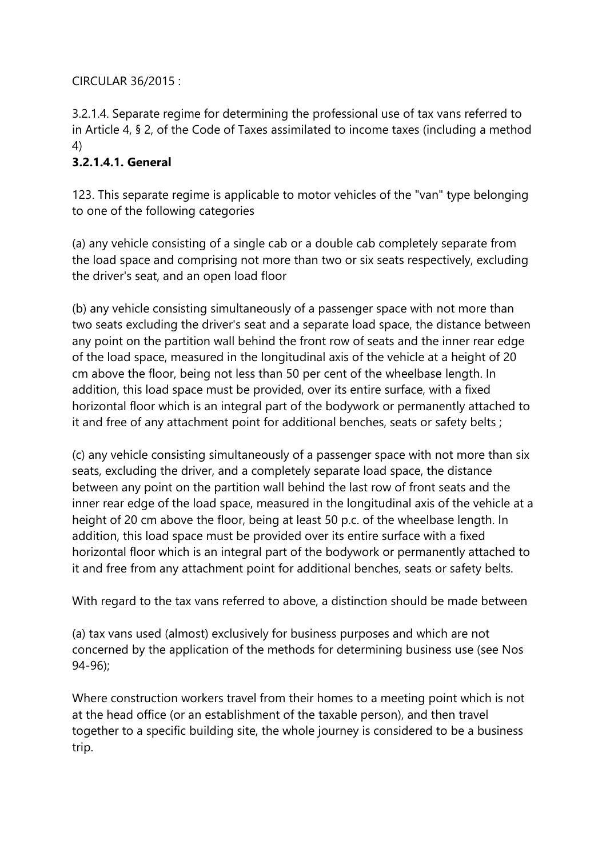# CIRCULAR 36/2015 :

3.2.1.4. Separate regime for determining the professional use of tax vans referred to in Article 4, § 2, of the Code of Taxes assimilated to income taxes (including a method 4)

# **3.2.1.4.1. General**

123. This separate regime is applicable to motor vehicles of the "van" type belonging to one of the following categories

(a) any vehicle consisting of a single cab or a double cab completely separate from the load space and comprising not more than two or six seats respectively, excluding the driver's seat, and an open load floor

(b) any vehicle consisting simultaneously of a passenger space with not more than two seats excluding the driver's seat and a separate load space, the distance between any point on the partition wall behind the front row of seats and the inner rear edge of the load space, measured in the longitudinal axis of the vehicle at a height of 20 cm above the floor, being not less than 50 per cent of the wheelbase length. In addition, this load space must be provided, over its entire surface, with a fixed horizontal floor which is an integral part of the bodywork or permanently attached to it and free of any attachment point for additional benches, seats or safety belts ;

(c) any vehicle consisting simultaneously of a passenger space with not more than six seats, excluding the driver, and a completely separate load space, the distance between any point on the partition wall behind the last row of front seats and the inner rear edge of the load space, measured in the longitudinal axis of the vehicle at a height of 20 cm above the floor, being at least 50 p.c. of the wheelbase length. In addition, this load space must be provided over its entire surface with a fixed horizontal floor which is an integral part of the bodywork or permanently attached to it and free from any attachment point for additional benches, seats or safety belts.

With regard to the tax vans referred to above, a distinction should be made between

(a) tax vans used (almost) exclusively for business purposes and which are not concerned by the application of the methods for determining business use (see Nos 94-96);

Where construction workers travel from their homes to a meeting point which is not at the head office (or an establishment of the taxable person), and then travel together to a specific building site, the whole journey is considered to be a business trip.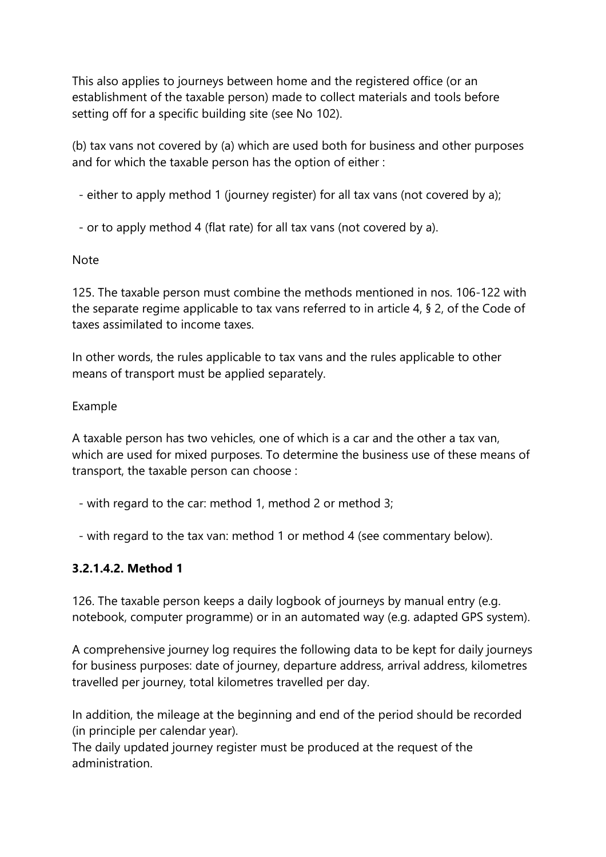This also applies to journeys between home and the registered office (or an establishment of the taxable person) made to collect materials and tools before setting off for a specific building site (see No 102).

(b) tax vans not covered by (a) which are used both for business and other purposes and for which the taxable person has the option of either :

- either to apply method 1 (journey register) for all tax vans (not covered by a);

- or to apply method 4 (flat rate) for all tax vans (not covered by a).

Note

125. The taxable person must combine the methods mentioned in nos. 106-122 with the separate regime applicable to tax vans referred to in article 4, § 2, of the Code of taxes assimilated to income taxes.

In other words, the rules applicable to tax vans and the rules applicable to other means of transport must be applied separately.

Example

A taxable person has two vehicles, one of which is a car and the other a tax van, which are used for mixed purposes. To determine the business use of these means of transport, the taxable person can choose :

- with regard to the car: method 1, method 2 or method 3;

- with regard to the tax van: method 1 or method 4 (see commentary below).

# **3.2.1.4.2. Method 1**

126. The taxable person keeps a daily logbook of journeys by manual entry (e.g. notebook, computer programme) or in an automated way (e.g. adapted GPS system).

A comprehensive journey log requires the following data to be kept for daily journeys for business purposes: date of journey, departure address, arrival address, kilometres travelled per journey, total kilometres travelled per day.

In addition, the mileage at the beginning and end of the period should be recorded (in principle per calendar year).

The daily updated journey register must be produced at the request of the administration.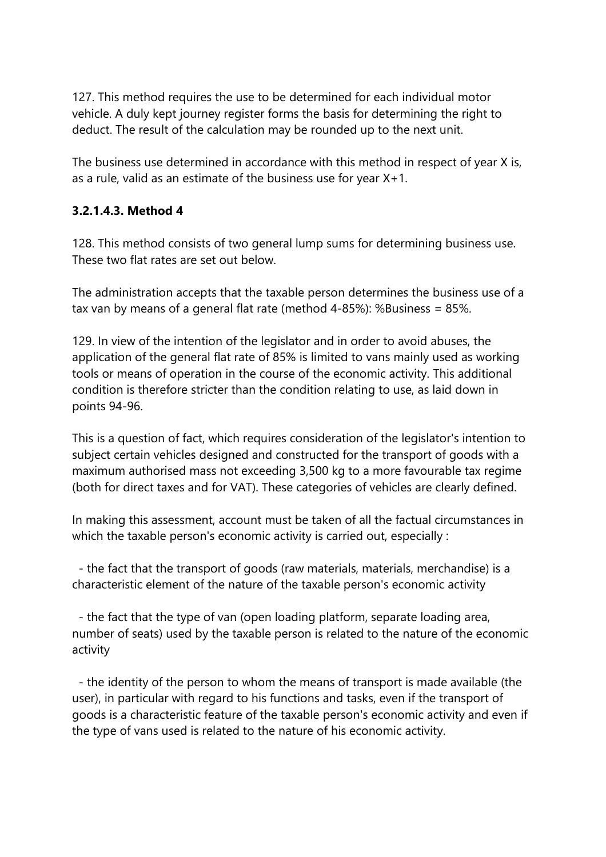127. This method requires the use to be determined for each individual motor vehicle. A duly kept journey register forms the basis for determining the right to deduct. The result of the calculation may be rounded up to the next unit.

The business use determined in accordance with this method in respect of year X is, as a rule, valid as an estimate of the business use for year X+1.

# **3.2.1.4.3. Method 4**

128. This method consists of two general lump sums for determining business use. These two flat rates are set out below.

The administration accepts that the taxable person determines the business use of a tax van by means of a general flat rate (method 4-85%): %Business = 85%.

129. In view of the intention of the legislator and in order to avoid abuses, the application of the general flat rate of 85% is limited to vans mainly used as working tools or means of operation in the course of the economic activity. This additional condition is therefore stricter than the condition relating to use, as laid down in points 94-96.

This is a question of fact, which requires consideration of the legislator's intention to subject certain vehicles designed and constructed for the transport of goods with a maximum authorised mass not exceeding 3,500 kg to a more favourable tax regime (both for direct taxes and for VAT). These categories of vehicles are clearly defined.

In making this assessment, account must be taken of all the factual circumstances in which the taxable person's economic activity is carried out, especially :

 - the fact that the transport of goods (raw materials, materials, merchandise) is a characteristic element of the nature of the taxable person's economic activity

 - the fact that the type of van (open loading platform, separate loading area, number of seats) used by the taxable person is related to the nature of the economic activity

 - the identity of the person to whom the means of transport is made available (the user), in particular with regard to his functions and tasks, even if the transport of goods is a characteristic feature of the taxable person's economic activity and even if the type of vans used is related to the nature of his economic activity.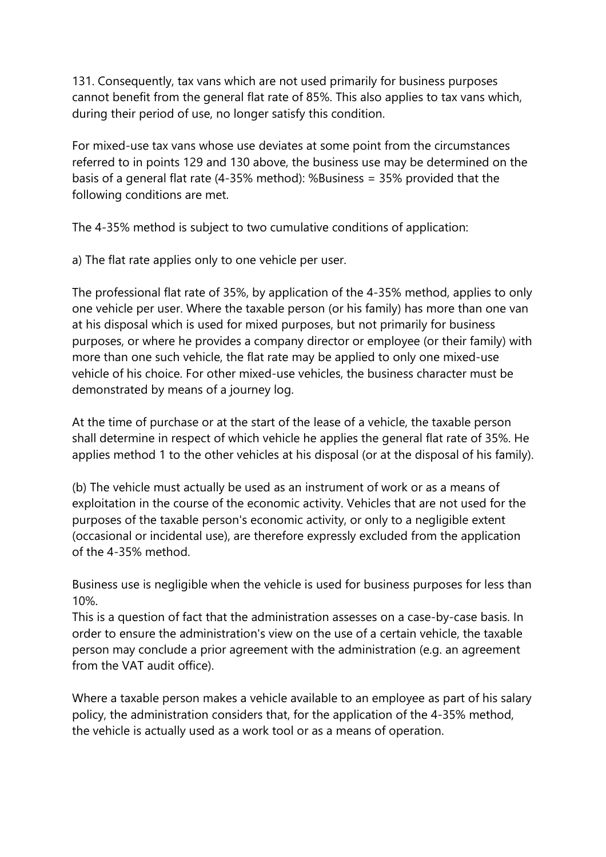131. Consequently, tax vans which are not used primarily for business purposes cannot benefit from the general flat rate of 85%. This also applies to tax vans which, during their period of use, no longer satisfy this condition.

For mixed-use tax vans whose use deviates at some point from the circumstances referred to in points 129 and 130 above, the business use may be determined on the basis of a general flat rate (4-35% method): %Business = 35% provided that the following conditions are met.

The 4-35% method is subject to two cumulative conditions of application:

a) The flat rate applies only to one vehicle per user.

The professional flat rate of 35%, by application of the 4-35% method, applies to only one vehicle per user. Where the taxable person (or his family) has more than one van at his disposal which is used for mixed purposes, but not primarily for business purposes, or where he provides a company director or employee (or their family) with more than one such vehicle, the flat rate may be applied to only one mixed-use vehicle of his choice. For other mixed-use vehicles, the business character must be demonstrated by means of a journey log.

At the time of purchase or at the start of the lease of a vehicle, the taxable person shall determine in respect of which vehicle he applies the general flat rate of 35%. He applies method 1 to the other vehicles at his disposal (or at the disposal of his family).

(b) The vehicle must actually be used as an instrument of work or as a means of exploitation in the course of the economic activity. Vehicles that are not used for the purposes of the taxable person's economic activity, or only to a negligible extent (occasional or incidental use), are therefore expressly excluded from the application of the 4-35% method.

Business use is negligible when the vehicle is used for business purposes for less than 10%.

This is a question of fact that the administration assesses on a case-by-case basis. In order to ensure the administration's view on the use of a certain vehicle, the taxable person may conclude a prior agreement with the administration (e.g. an agreement from the VAT audit office).

Where a taxable person makes a vehicle available to an employee as part of his salary policy, the administration considers that, for the application of the 4-35% method, the vehicle is actually used as a work tool or as a means of operation.